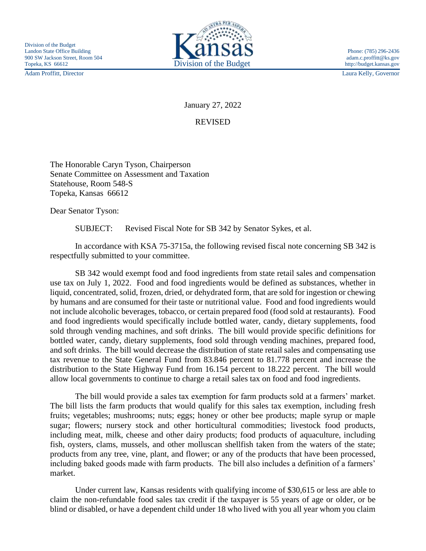Adam Proffitt, Director Laura Kelly, Governor



January 27, 2022

REVISED

The Honorable Caryn Tyson, Chairperson Senate Committee on Assessment and Taxation Statehouse, Room 548-S Topeka, Kansas 66612

Dear Senator Tyson:

SUBJECT: Revised Fiscal Note for SB 342 by Senator Sykes, et al.

In accordance with KSA 75-3715a, the following revised fiscal note concerning SB 342 is respectfully submitted to your committee.

SB 342 would exempt food and food ingredients from state retail sales and compensation use tax on July 1, 2022. Food and food ingredients would be defined as substances, whether in liquid, concentrated, solid, frozen, dried, or dehydrated form, that are sold for ingestion or chewing by humans and are consumed for their taste or nutritional value. Food and food ingredients would not include alcoholic beverages, tobacco, or certain prepared food (food sold at restaurants). Food and food ingredients would specifically include bottled water, candy, dietary supplements, food sold through vending machines, and soft drinks. The bill would provide specific definitions for bottled water, candy, dietary supplements, food sold through vending machines, prepared food, and soft drinks. The bill would decrease the distribution of state retail sales and compensating use tax revenue to the State General Fund from 83.846 percent to 81.778 percent and increase the distribution to the State Highway Fund from 16.154 percent to 18.222 percent. The bill would allow local governments to continue to charge a retail sales tax on food and food ingredients.

The bill would provide a sales tax exemption for farm products sold at a farmers' market. The bill lists the farm products that would qualify for this sales tax exemption, including fresh fruits; vegetables; mushrooms; nuts; eggs; honey or other bee products; maple syrup or maple sugar; flowers; nursery stock and other horticultural commodities; livestock food products, including meat, milk, cheese and other dairy products; food products of aquaculture, including fish, oysters, clams, mussels, and other molluscan shellfish taken from the waters of the state; products from any tree, vine, plant, and flower; or any of the products that have been processed, including baked goods made with farm products. The bill also includes a definition of a farmers' market.

Under current law, Kansas residents with qualifying income of \$30,615 or less are able to claim the non-refundable food sales tax credit if the taxpayer is 55 years of age or older, or be blind or disabled, or have a dependent child under 18 who lived with you all year whom you claim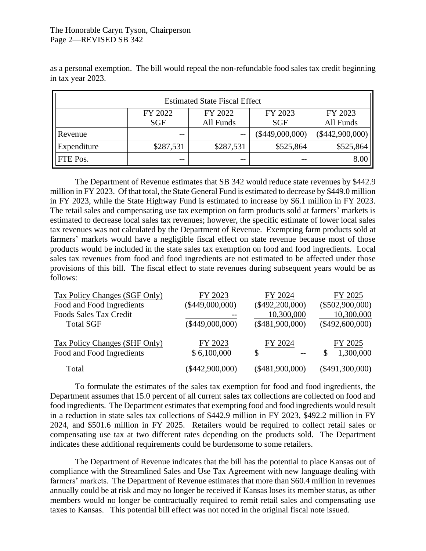## The Honorable Caryn Tyson, Chairperson Page 2—REVISED SB 342

as a personal exemption. The bill would repeal the non-refundable food sales tax credit beginning in tax year 2023.

| <b>Estimated State Fiscal Effect</b> |                |                      |                       |                      |  |
|--------------------------------------|----------------|----------------------|-----------------------|----------------------|--|
|                                      | FY 2022<br>SGF | FY 2022<br>All Funds | FY 2023<br><b>SGF</b> | FY 2023<br>All Funds |  |
| Revenue                              | $- -$          | $- -$                | $(\$449,000,000)$     | $(\$442,900,000)$    |  |
| Expenditure                          | \$287,531      | \$287,531            | \$525,864             | \$525,864            |  |
| FTE Pos.                             | $- -$          | $- -$                |                       | 8.00                 |  |

The Department of Revenue estimates that SB 342 would reduce state revenues by \$442.9 million in FY 2023. Of that total, the State General Fund is estimated to decrease by \$449.0 million in FY 2023, while the State Highway Fund is estimated to increase by \$6.1 million in FY 2023. The retail sales and compensating use tax exemption on farm products sold at farmers' markets is estimated to decrease local sales tax revenues; however, the specific estimate of lower local sales tax revenues was not calculated by the Department of Revenue. Exempting farm products sold at farmers' markets would have a negligible fiscal effect on state revenue because most of those products would be included in the state sales tax exemption on food and food ingredients. Local sales tax revenues from food and food ingredients are not estimated to be affected under those provisions of this bill. The fiscal effect to state revenues during subsequent years would be as follows:

| FY 2023           | FY 2024           | FY 2025                                                          |
|-------------------|-------------------|------------------------------------------------------------------|
| $(\$449,000,000)$ |                   | $(\$502,900,000)$                                                |
|                   | 10,300,000        | 10,300,000                                                       |
| $(\$449,000,000)$ |                   | $(\$492,600,000)$                                                |
|                   |                   |                                                                  |
| FY 2023           | FY 2024           | FY 2025                                                          |
| \$6,100,000       | $-$               | 1,300,000<br>\$                                                  |
|                   |                   | $(\$491,300,000)$                                                |
|                   | $(\$442,900,000)$ | $(\$492,200,000)$<br>$(\$481,900,000)$<br>S<br>$(\$481,900,000)$ |

To formulate the estimates of the sales tax exemption for food and food ingredients, the Department assumes that 15.0 percent of all current sales tax collections are collected on food and food ingredients. The Department estimates that exempting food and food ingredients would result in a reduction in state sales tax collections of \$442.9 million in FY 2023, \$492.2 million in FY 2024, and \$501.6 million in FY 2025. Retailers would be required to collect retail sales or compensating use tax at two different rates depending on the products sold. The Department indicates these additional requirements could be burdensome to some retailers.

The Department of Revenue indicates that the bill has the potential to place Kansas out of compliance with the Streamlined Sales and Use Tax Agreement with new language dealing with farmers' markets. The Department of Revenue estimates that more than \$60.4 million in revenues annually could be at risk and may no longer be received if Kansas loses its member status, as other members would no longer be contractually required to remit retail sales and compensating use taxes to Kansas. This potential bill effect was not noted in the original fiscal note issued.